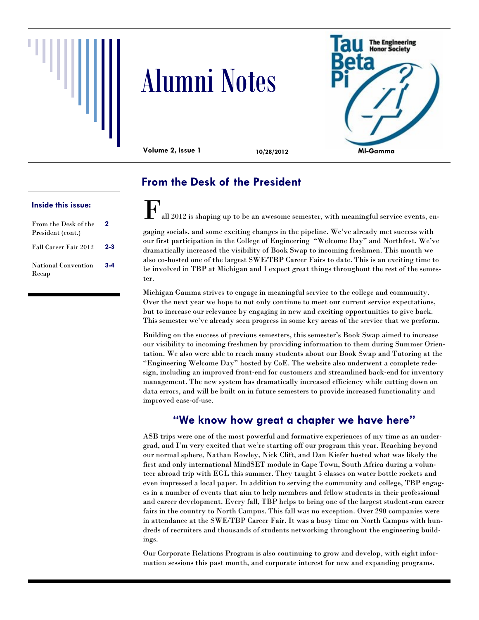





**Volume 2, Issue 1 10/28/2012**

### **From the Desk of the President**

 $\Gamma_{\text{all 2012 is shaping up to be an avesome semester, with meaningful service events, en-}$ 

cations are out and it's lookgaging socials, and some exciting changes in the pipeline. We've already met success with our first participation in the College of Engineering "Welcome Day" and Northfest. We've dramatically increased the visibility of Book Swap to incoming freshmen. This month we also co-hosted one of the largest SWE/TBP Career Fairs to date. This is an exciting time to be involved in TBP at Michigan and I expect great things throughout the rest of the semester.

Michigan Gamma strives to engage in meaningful service to the college and community. Over the next year we hope to not only continue to meet our current service expectations, but to increase our relevance by engaging in new and exciting opportunities to give back. This semester we've already seen progress in some key areas of the service that we perform.

Building on the success of previous semesters, this semester's Book Swap aimed to increase our visibility to incoming freshmen by providing information to them during Summer Orientation. We also were able to reach many students about our Book Swap and Tutoring at the "Engineering Welcome Day" hosted by CoE. The website also underwent a complete redesign, including an improved front-end for customers and streamlined back-end for inventory management. The new system has dramatically increased efficiency while cutting down on data errors, and will be built on in future semesters to provide increased functionality and improved ease-of-use.

### **"We know how great a chapter we have here"**

ASB trips were one of the most powerful and formative experiences of my time as an undergrad, and I'm very excited that we're starting off our program this year. Reaching beyond our normal sphere, Nathan Rowley, Nick Clift, and Dan Kiefer hosted what was likely the first and only international MindSET module in Cape Town, South Africa during a volunteer abroad trip with EGL this summer. They taught 5 classes on water bottle rockets and even impressed a local paper. In addition to serving the community and college, TBP engages in a number of events that aim to help members and fellow students in their professional and career development. Every fall, TBP helps to bring one of the largest student-run career fairs in the country to North Campus. This fall was no exception. Over 290 companies were in attendance at the SWE/TBP Career Fair. It was a busy time on North Campus with hundreds of recruiters and thousands of students networking throughout the engineering buildings.

Our Corporate Relations Program is also continuing to grow and develop, with eight information sessions this past month, and corporate interest for new and expanding programs.

#### **Inside this issue:**

| From the Desk of the<br>President (cont.) | 2       |
|-------------------------------------------|---------|
| Fall Career Fair 2012                     | $2 - 3$ |
| National Convention<br>Recap              | $3-4$   |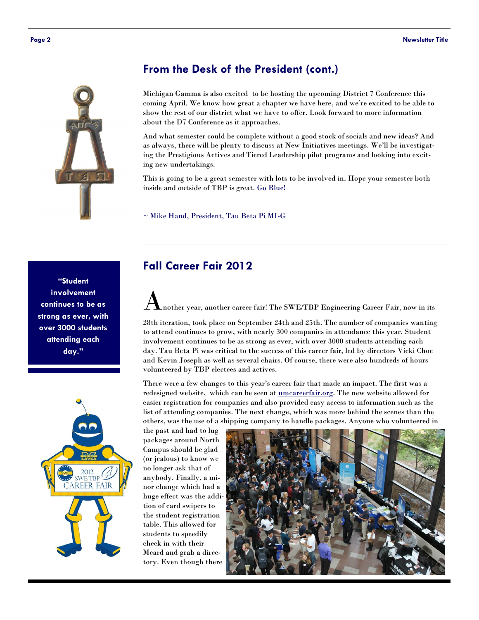

#### **From the Desk of the President (cont.)**

Michigan Gamma is also excited to be hosting the upcoming District 7 Conference this coming April. We know how great a chapter we have here, and we're excited to be able to show the rest of our district what we have to offer. Look forward to more information about the D7 Conference as it approaches.

And what semester could be complete without a good stock of socials and new ideas? And as always, there will be plenty to discuss at New Initiatives meetings. We'll be investigating the Prestigious Actives and Tiered Leadership pilot programs and looking into exciting new undertakings.

This is going to be a great semester with lots to be involved in. Hope your semester both inside and outside of TBP is great. Go Blue!

~ Mike Hand, President, Tau Beta Pi MI-G

#### **Fall Career Fair 2012**

Another year, another career fair! The SWE/TBP Engineering Career Fair, now in its

28th iteration, took place on September 24th and 25th. The number of companies wanting to attend continues to grow, with nearly 300 companies in attendance this year. Student involvement continues to be as strong as ever, with over 3000 students attending each day. Tau Beta Pi was critical to the success of this career fair, led by directors Vicki Choe and Kevin Joseph as well as several chairs. Of course, there were also hundreds of hours volunteered by TBP electees and actives.

There were a few changes to this year's career fair that made an impact. The first was a redesigned website, which can be seen at <u>umcareerfair.org</u>. The new website allowed for easier registration for companies and also provided easy access to information such as the list of attending companies. The next change, which was more behind the scenes than the others, was the use of a shipping company to handle packages. Anyone who volunteered in

the past and had to lug packages around North Campus should be glad (or jealous) to know we no longer ask that of anybody. Finally, a minor change which had a huge effect was the addition of card swipers to the student registration table. This allowed for students to speedily check in with their Mcard and grab a directory. Even though there



**"Student involvement continues to be as strong as ever, with over 3000 students attending each day."**

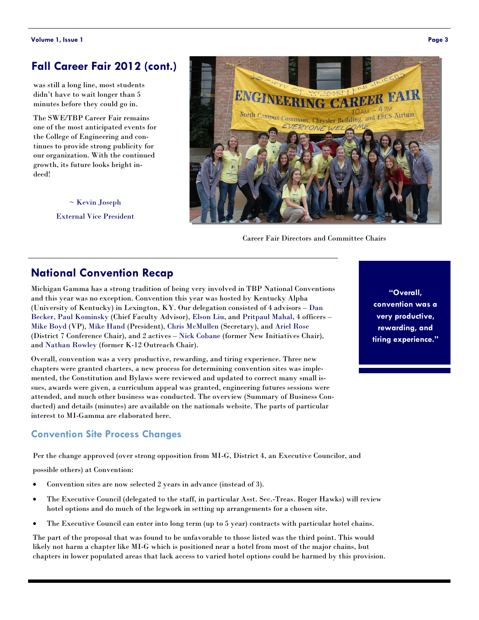#### **Fall Career Fair 2012 (cont.)**

was still a long line, most students didn't have to wait longer than 5 minutes before they could go in.

The SWE/TBP Career Fair remains one of the most anticipated events for the College of Engineering and continues to provide strong publicity for our organization. With the continued growth, its future looks bright indeed!





Career Fair Directors and Committee Chairs

## **National Convention Recap**

Michigan Gamma has a strong tradition of being very involved in TBP National Conventions and this year was no exception. Convention this year was hosted by Kentucky Alpha (University of Kentucky) in Lexington, KY. Our delegation consisted of 4 advisors – Dan Becker, Paul Kominsky (Chief Faculty Advisor), Elson Liu, and Pritpaul Mahal, 4 officers – Mike Boyd (VP), Mike Hand (President), Chris McMullen (Secretary), and Ariel Rose (District 7 Conference Chair), and 2 actives – Nick Cobane (former New Initiatives Chair), and Nathan Rowley (former K-12 Outreach Chair).

Overall, convention was a very productive, rewarding, and tiring experience. Three new chapters were granted charters, a new process for determining convention sites was implemented, the Constitution and Bylaws were reviewed and updated to correct many small issues, awards were given, a curriculum appeal was granted, engineering futures sessions were attended, and much other business was conducted. The overview (Summary of Business Conducted) and details (minutes) are available on the nationals website. The parts of particular interest to MI-Gamma are elaborated here.

#### **Convention Site Process Changes**

Per the change approved (over strong opposition from MI-G, District 4, an Executive Councilor, and

possible others) at Convention:

- Convention sites are now selected 2 years in advance (instead of 3).
- The Executive Council (delegated to the staff, in particular Asst. Sec.-Treas. Roger Hawks) will review hotel options and do much of the legwork in setting up arrangements for a chosen site.
- The Executive Council can enter into long term (up to 5 year) contracts with particular hotel chains.

The part of the proposal that was found to be unfavorable to those listed was the third point. This would likely not harm a chapter like MI-G which is positioned near a hotel from most of the major chains, but chapters in lower populated areas that lack access to varied hotel options could be harmed by this provision.

**"Overall, convention was a very productive, rewarding, and tiring experience."**